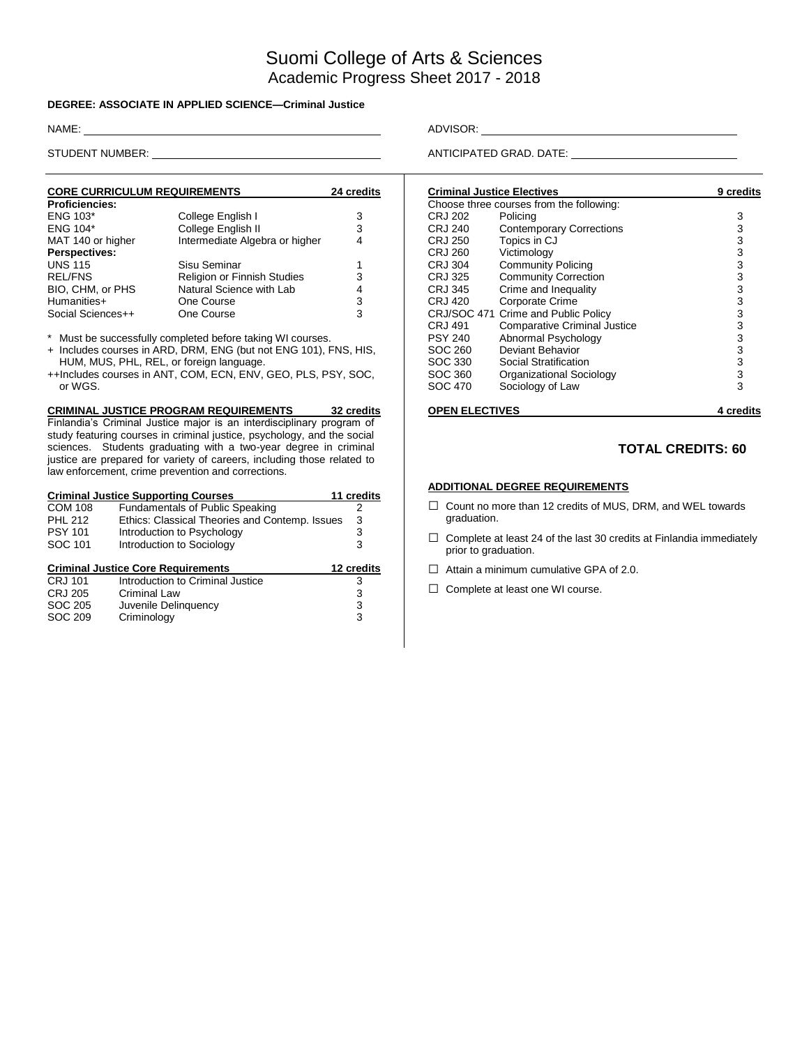# Suomi College of Arts & Sciences Academic Progress Sheet 2017 - 2018

#### **DEGREE: ASSOCIATE IN APPLIED SCIENCE—Criminal Justice**

| <b>CORE CURRICULUM REQUIREMENTS</b> | 24 credits                     |   |
|-------------------------------------|--------------------------------|---|
| <b>Proficiencies:</b>               |                                |   |
| <b>ENG 103*</b>                     | College English I              | 3 |
| <b>ENG 104*</b>                     | College English II             | 3 |
| MAT 140 or higher                   | Intermediate Algebra or higher | 4 |
| <b>Perspectives:</b>                |                                |   |
| <b>UNS 115</b>                      | Sisu Seminar                   |   |
| <b>REL/FNS</b>                      | Religion or Finnish Studies    | 3 |
| BIO, CHM, or PHS                    | Natural Science with Lab       | 4 |
| Humanities+                         | One Course                     | 3 |
| Social Sciences++                   | One Course                     | 3 |

\* Must be successfully completed before taking WI courses.

+ Includes courses in ARD, DRM, ENG (but not ENG 101), FNS, HIS, HUM, MUS, PHL, REL, or foreign language.

++Includes courses in ANT, COM, ECN, ENV, GEO, PLS, PSY, SOC, or WGS.

#### **CRIMINAL JUSTICE PROGRAM REQUIREMENTS 32 credits**

Finlandia's Criminal Justice major is an interdisciplinary program of study featuring courses in criminal justice, psychology, and the social sciences. Students graduating with a two-year degree in criminal justice are prepared for variety of careers, including those related to law enforcement, crime prevention and corrections.

| <b>Criminal Justice Supporting Courses</b> | 11 credits                                     |            |
|--------------------------------------------|------------------------------------------------|------------|
| <b>COM 108</b>                             | <b>Fundamentals of Public Speaking</b>         | 2          |
| PHI 212                                    | Ethics: Classical Theories and Contemp. Issues | 3          |
| <b>PSY 101</b>                             | Introduction to Psychology                     | 3          |
| SOC 101                                    | Introduction to Sociology                      | 3          |
|                                            | <b>Criminal Justice Core Requirements</b>      | 12 credits |
| CRJ 101                                    | Introduction to Criminal Justice               | 3          |
| CRJ 205                                    | Criminal Law                                   | 3          |
| SOC 205                                    | Juvenile Delinguency                           | 3          |
| <b>SOC 209</b>                             | Criminology                                    | 3          |

NAME: ADVISOR:

STUDENT NUMBER: ANTICIPATED GRAD. DATE:

| <b>Criminal Justice Electives</b> | 9 credits                                |           |
|-----------------------------------|------------------------------------------|-----------|
|                                   | Choose three courses from the following: |           |
| CRJ 202                           | Policing                                 | 3         |
| CRJ 240                           | <b>Contemporary Corrections</b>          | 3         |
| CRJ 250                           | Topics in CJ                             | 3         |
| CRJ 260                           | Victimology                              | 3         |
| CRJ 304                           | <b>Community Policing</b>                | 3         |
| CRJ 325                           | <b>Community Correction</b>              | 3         |
| <b>CRJ 345</b>                    | Crime and Inequality                     | 3         |
| CRJ 420                           | <b>Corporate Crime</b>                   | 3         |
|                                   | CRJ/SOC 471 Crime and Public Policy      | 3         |
| CRJ 491                           | <b>Comparative Criminal Justice</b>      | 3         |
| <b>PSY 240</b>                    | Abnormal Psychology                      | 3         |
| SOC 260                           | Deviant Behavior                         | 3         |
| SOC 330                           | Social Stratification                    | 3         |
| SOC 360                           | Organizational Sociology                 | 3         |
| SOC 470                           | Sociology of Law                         | 3         |
| <b>OPEN ELECTIVES</b>             |                                          | 4 credits |

### **TOTAL CREDITS: 60**

#### **ADDITIONAL DEGREE REQUIREMENTS**

- □ Count no more than 12 credits of MUS, DRM, and WEL towards graduation.
- $\square$  Complete at least 24 of the last 30 credits at Finlandia immediately prior to graduation.
- $\Box$  Attain a minimum cumulative GPA of 2.0.
- □ Complete at least one WI course.